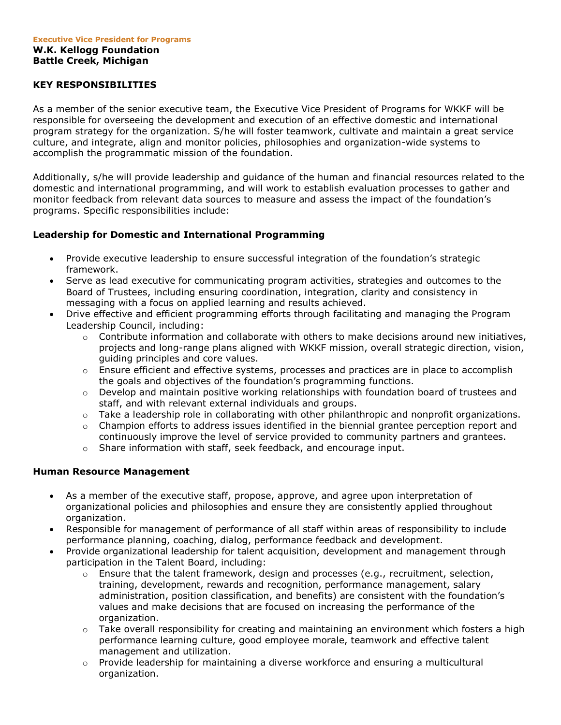# **KEY RESPONSIBILITIES**

As a member of the senior executive team, the Executive Vice President of Programs for WKKF will be responsible for overseeing the development and execution of an effective domestic and international program strategy for the organization. S/he will foster teamwork, cultivate and maintain a great service culture, and integrate, align and monitor policies, philosophies and organization-wide systems to accomplish the programmatic mission of the foundation.

Additionally, s/he will provide leadership and guidance of the human and financial resources related to the domestic and international programming, and will work to establish evaluation processes to gather and monitor feedback from relevant data sources to measure and assess the impact of the foundation's programs. Specific responsibilities include:

# **Leadership for Domestic and International Programming**

- Provide executive leadership to ensure successful integration of the foundation's strategic framework.
- Serve as lead executive for communicating program activities, strategies and outcomes to the Board of Trustees, including ensuring coordination, integration, clarity and consistency in messaging with a focus on applied learning and results achieved.
- Drive effective and efficient programming efforts through facilitating and managing the Program Leadership Council, including:
	- $\circ$  Contribute information and collaborate with others to make decisions around new initiatives, projects and long-range plans aligned with WKKF mission, overall strategic direction, vision, guiding principles and core values.
	- $\circ$  Ensure efficient and effective systems, processes and practices are in place to accomplish the goals and objectives of the foundation's programming functions.
	- $\circ$  Develop and maintain positive working relationships with foundation board of trustees and staff, and with relevant external individuals and groups.
	- $\circ$  Take a leadership role in collaborating with other philanthropic and nonprofit organizations.
	- $\circ$  Champion efforts to address issues identified in the biennial grantee perception report and continuously improve the level of service provided to community partners and grantees.
	- o Share information with staff, seek feedback, and encourage input.

## **Human Resource Management**

- As a member of the executive staff, propose, approve, and agree upon interpretation of organizational policies and philosophies and ensure they are consistently applied throughout organization.
- Responsible for management of performance of all staff within areas of responsibility to include performance planning, coaching, dialog, performance feedback and development.
- Provide organizational leadership for talent acquisition, development and management through participation in the Talent Board, including:
	- o Ensure that the talent framework, design and processes (e.g., recruitment, selection, training, development, rewards and recognition, performance management, salary administration, position classification, and benefits) are consistent with the foundation's values and make decisions that are focused on increasing the performance of the organization.
	- o Take overall responsibility for creating and maintaining an environment which fosters a high performance learning culture, good employee morale, teamwork and effective talent management and utilization.
	- $\circ$  Provide leadership for maintaining a diverse workforce and ensuring a multicultural organization.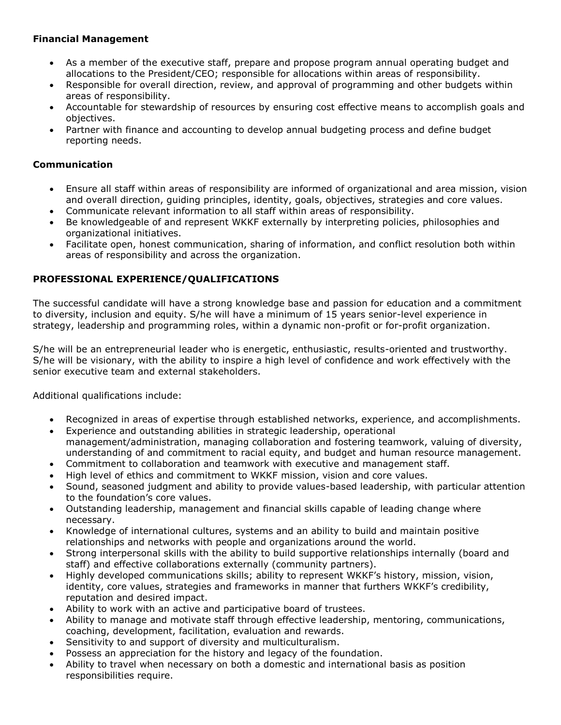# **Financial Management**

- As a member of the executive staff, prepare and propose program annual operating budget and allocations to the President/CEO; responsible for allocations within areas of responsibility.
- Responsible for overall direction, review, and approval of programming and other budgets within areas of responsibility.
- Accountable for stewardship of resources by ensuring cost effective means to accomplish goals and objectives.
- Partner with finance and accounting to develop annual budgeting process and define budget reporting needs.

# **Communication**

- Ensure all staff within areas of responsibility are informed of organizational and area mission, vision and overall direction, guiding principles, identity, goals, objectives, strategies and core values.
- Communicate relevant information to all staff within areas of responsibility.
- Be knowledgeable of and represent WKKF externally by interpreting policies, philosophies and organizational initiatives.
- Facilitate open, honest communication, sharing of information, and conflict resolution both within areas of responsibility and across the organization.

# **PROFESSIONAL EXPERIENCE/QUALIFICATIONS**

The successful candidate will have a strong knowledge base and passion for education and a commitment to diversity, inclusion and equity. S/he will have a minimum of 15 years senior-level experience in strategy, leadership and programming roles, within a dynamic non-profit or for-profit organization.

S/he will be an entrepreneurial leader who is energetic, enthusiastic, results-oriented and trustworthy. S/he will be visionary, with the ability to inspire a high level of confidence and work effectively with the senior executive team and external stakeholders.

Additional qualifications include:

- Recognized in areas of expertise through established networks, experience, and accomplishments.
- Experience and outstanding abilities in strategic leadership, operational management/administration, managing collaboration and fostering teamwork, valuing of diversity, understanding of and commitment to racial equity, and budget and human resource management.
- Commitment to collaboration and teamwork with executive and management staff.
- High level of ethics and commitment to WKKF mission, vision and core values.
- Sound, seasoned judgment and ability to provide values-based leadership, with particular attention to the foundation's core values.
- Outstanding leadership, management and financial skills capable of leading change where necessary.
- Knowledge of international cultures, systems and an ability to build and maintain positive relationships and networks with people and organizations around the world.
- Strong interpersonal skills with the ability to build supportive relationships internally (board and staff) and effective collaborations externally (community partners).
- Highly developed communications skills; ability to represent WKKF's history, mission, vision, identity, core values, strategies and frameworks in manner that furthers WKKF's credibility, reputation and desired impact.
- Ability to work with an active and participative board of trustees.
- Ability to manage and motivate staff through effective leadership, mentoring, communications, coaching, development, facilitation, evaluation and rewards.
- Sensitivity to and support of diversity and multiculturalism.
- Possess an appreciation for the history and legacy of the foundation.
- Ability to travel when necessary on both a domestic and international basis as position responsibilities require.